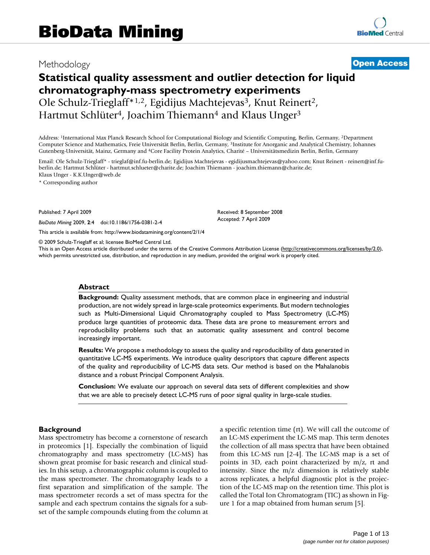# Methodology **[Open Access](http://www.biomedcentral.com/info/about/charter/)**

# **Statistical quality assessment and outlier detection for liquid chromatography-mass spectrometry experiments** Ole Schulz-Trieglaff<sup>\*1,2</sup>, Egidijus Machtejevas<sup>3</sup>, Knut Reinert<sup>2</sup>, Hartmut Schlüter<sup>4</sup>, Joachim Thiemann<sup>4</sup> and Klaus Unger<sup>3</sup>

Address: 1International Max Planck Research School for Computational Biology and Scientific Computing, Berlin, Germany, 2Department Computer Science and Mathematics, Freie Universität Berlin, Berlin, Germany, 3Institute for Anorganic and Analytical Chemistry, Johannes Gutenberg-Universität, Mainz, Germany and 4Core Facility Protein Analytics, Charité – Universitätsmedizin Berlin, Berlin, Germany

Email: Ole Schulz-Trieglaff<sup>\*</sup> - trieglaf@inf.fu-berlin.de; Egidijus Machtejevas - egidijusmachtejevas@yahoo.com; Knut Reinert - reinert@inf.fuberlin.de; Hartmut Schlüter - hartmut.schlueter@charite.de; Joachim Thiemann - joachim.thiemann@charite.de; Klaus Unger - K.K.Unger@web.de

> Received: 8 September 2008 Accepted: 7 April 2009

\* Corresponding author

Published: 7 April 2009

*BioData Mining* 2009, **2**:4 doi:10.1186/1756-0381-2-4

[This article is available from: http://www.biodatamining.org/content/2/1/4](http://www.biodatamining.org/content/2/1/4)

© 2009 Schulz-Trieglaff et al; licensee BioMed Central Ltd.

This is an Open Access article distributed under the terms of the Creative Commons Attribution License [\(http://creativecommons.org/licenses/by/2.0\)](http://creativecommons.org/licenses/by/2.0), which permits unrestricted use, distribution, and reproduction in any medium, provided the original work is properly cited.

#### **Abstract**

**Background:** Quality assessment methods, that are common place in engineering and industrial production, are not widely spread in large-scale proteomics experiments. But modern technologies such as Multi-Dimensional Liquid Chromatography coupled to Mass Spectrometry (LC-MS) produce large quantities of proteomic data. These data are prone to measurement errors and reproducibility problems such that an automatic quality assessment and control become increasingly important.

**Results:** We propose a methodology to assess the quality and reproducibility of data generated in quantitative LC-MS experiments. We introduce quality descriptors that capture different aspects of the quality and reproducibility of LC-MS data sets. Our method is based on the Mahalanobis distance and a robust Principal Component Analysis.

**Conclusion:** We evaluate our approach on several data sets of different complexities and show that we are able to precisely detect LC-MS runs of poor signal quality in large-scale studies.

#### **Background**

Mass spectrometry has become a cornerstone of research in proteomics [\[1](#page-11-0)]. Especially the combination of liquid chromatography and mass spectrometry (LC-MS) has shown great promise for basic research and clinical studies. In this setup, a chromatographic column is coupled to the mass spectrometer. The chromatography leads to a first separation and simplification of the sample. The mass spectrometer records a set of mass spectra for the sample and each spectrum contains the signals for a subset of the sample compounds eluting from the column at a specific retention time (rt). We will call the outcome of an LC-MS experiment the LC-MS map. This term denotes the collection of all mass spectra that have been obtained from this LC-MS run [[2](#page-11-1)[-4\]](#page-11-2). The LC-MS map is a set of points in 3D, each point characterized by m/z, rt and intensity. Since the m/z dimension is relatively stable across replicates, a helpful diagnostic plot is the projection of the LC-MS map on the retention time. This plot is called the Total Ion Chromatogram (TIC) as shown in Figure [1](#page-1-0) for a map obtained from human serum [[5](#page-11-3)].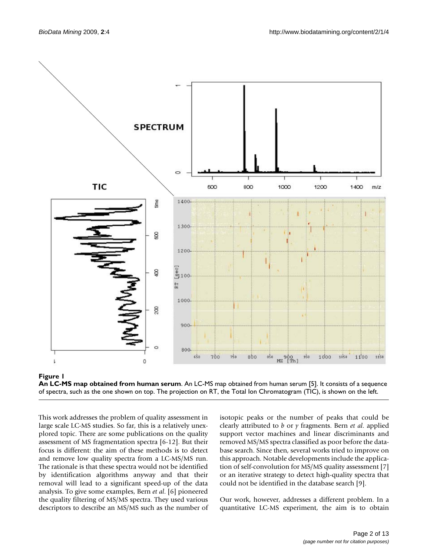<span id="page-1-0"></span>



This work addresses the problem of quality assessment in large scale LC-MS studies. So far, this is a relatively unexplored topic. There are some publications on the quality assessment of MS fragmentation spectra [[6](#page-11-4)[-12](#page-11-5)]. But their focus is different: the aim of these methods is to detect and remove low quality spectra from a LC-MS/MS run. The rationale is that these spectra would not be identified by identification algorithms anyway and that their removal will lead to a significant speed-up of the data analysis. To give some examples, Bern *et al*. [\[6\]](#page-11-4) pioneered the quality filtering of MS/MS spectra. They used various descriptors to describe an MS/MS such as the number of

isotopic peaks or the number of peaks that could be clearly attributed to *b* or *y* fragments. Bern *et al*. applied support vector machines and linear discriminants and removed MS/MS spectra classified as poor before the database search. Since then, several works tried to improve on this approach. Notable developments include the application of self-convolution for MS/MS quality assessment [\[7\]](#page-11-6) or an iterative strategy to detect high-quality spectra that could not be identified in the database search [[9](#page-11-7)].

Our work, however, addresses a different problem. In a quantitative LC-MS experiment, the aim is to obtain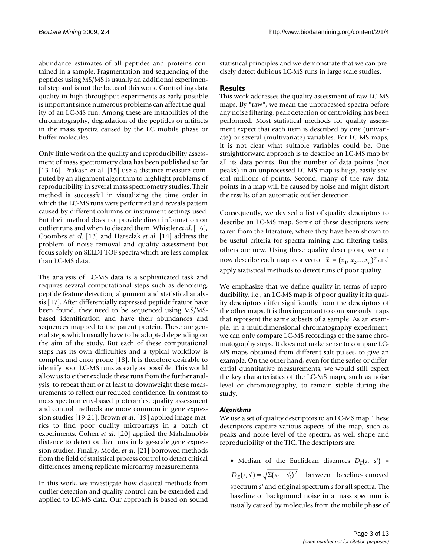abundance estimates of all peptides and proteins contained in a sample. Fragmentation and sequencing of the peptides using MS/MS is usually an additional experimental step and is not the focus of this work. Controlling data quality in high-throughput experiments as early possible is important since numerous problems can affect the quality of an LC-MS run. Among these are instabilities of the chromatography, degradation of the peptides or artifacts in the mass spectra caused by the LC mobile phase or buffer molecules.

Only little work on the quality and reproducibility assessment of mass spectrometry data has been published so far [[13](#page-11-8)[-16](#page-11-9)]. Prakash et al. [\[15\]](#page-11-10) use a distance measure computed by an alignment algorithm to highlight problems of reproducibility in several mass spectrometry studies. Their method is successful in visualizing the time order in which the LC-MS runs were performed and reveals pattern caused by different columns or instrument settings used. But their method does not provide direct information on outlier runs and when to discard them. Whistler *et al*. [\[16](#page-11-9)], Coombes *et al*. [[13\]](#page-11-8) and Harezlak *et al*. [\[14](#page-11-11)] address the problem of noise removal and quality assessment but focus solely on SELDI-TOF spectra which are less complex than LC-MS data.

The analysis of LC-MS data is a sophisticated task and requires several computational steps such as denoising, peptide feature detection, alignment and statistical analysis [\[17](#page-11-12)]. After differentially expressed peptide feature have been found, they need to be sequenced using MS/MSbased identification and have their abundances and sequences mapped to the parent protein. These are general steps which usually have to be adopted depending on the aim of the study. But each of these computational steps has its own difficulties and a typical workflow is complex and error prone [\[18](#page-11-13)]. It is therefore desirable to identify poor LC-MS runs as early as possible. This would allow us to either exclude these runs from the further analysis, to repeat them or at least to downweight these measurements to reflect our reduced confidence. In contrast to mass spectrometry-based proteomics, quality assessment and control methods are more common in gene expression studies [\[19](#page-11-14)[-21](#page-11-15)]. Brown *et al*. [\[19](#page-11-14)] applied image metrics to find poor quality microarrays in a batch of experiments. Cohen *et al*. [\[20](#page-11-16)] applied the Mahalanobis distance to detect outlier runs in large-scale gene expression studies. Finally, Model *et al*. [[21\]](#page-11-15) borrowed methods from the field of statistical process control to detect critical differences among replicate microarray measurements.

In this work, we investigate how classical methods from outlier detection and quality control can be extended and applied to LC-MS data. Our approach is based on sound statistical principles and we demonstrate that we can precisely detect dubious LC-MS runs in large scale studies.

# **Results**

This work addresses the quality assessment of raw LC-MS maps. By "raw", we mean the unprocessed spectra before any noise filtering, peak detection or centroiding has been performed. Most statistical methods for quality assessment expect that each item is described by one (univariate) or several (multivariate) variables. For LC-MS maps, it is not clear what suitable variables could be. One straightforward approach is to describe an LC-MS map by all its data points. But the number of data points (not peaks) in an unprocessed LC-MS map is huge, easily several millions of points. Second, many of the raw data points in a map will be caused by noise and might distort the results of an automatic outlier detection.

Consequently, we devised a list of quality descriptors to describe an LC-MS map. Some of these descriptors were taken from the literature, where they have been shown to be useful criteria for spectra mining and filtering tasks, others are new. Using these quality descriptors, we can now describe each map as a vector  $\vec{x} = (x_1, x_2, ..., x_n)^T$  and apply statistical methods to detect runs of poor quality.

We emphasize that we define quality in terms of reproducibility, i.e., an LC-MS map is of poor quality if its quality descriptors differ significantly from the descriptors of the other maps. It is thus important to compare only maps that represent the same subsets of a sample. As an example, in a multidimensional chromatography experiment, we can only compare LC-MS recordings of the same chromatography steps. It does not make sense to compare LC-MS maps obtained from different salt pulses, to give an example. On the other hand, even for time series or differential quantitative measurements, we would still expect the key characteristics of the LC-MS maps, such as noise level or chromatography, to remain stable during the study.

# *Algorithms*

We use a set of quality descriptors to an LC-MS map. These descriptors capture various aspects of the map, such as peaks and noise level of the spectra, as well shape and reproducibility of the TIC. The descriptors are:

• Median of the Euclidean distances  $D_E(s, s')$  =

 $D_E(s, s') = \sqrt{\Sigma (s_i - s'_i)^2}$  between baseline-removed spectrum *s'* and original spectrum *s* for all spectra. The baseline or background noise in a mass spectrum is usually caused by molecules from the mobile phase of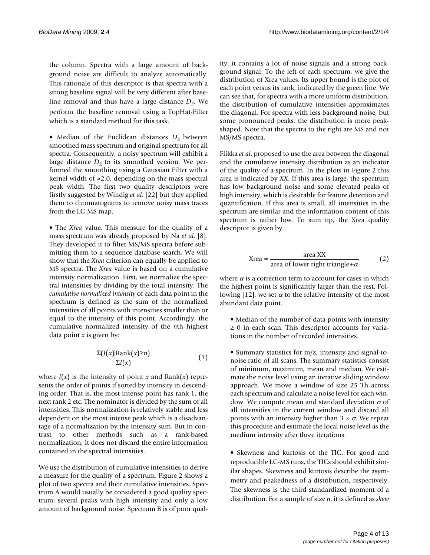the column. Spectra with a large amount of background noise are difficult to analyze automatically. This rationale of this descriptor is that spectra with a strong baseline signal will be very different after baseline removal and thus have a large distance  $D<sub>E</sub>$ . We perform the baseline removal using a TopHat-Filter which is a standard method for this task.

• Median of the Euclidean distances  $D_E$  between smoothed mass spectrum and original spectrum for all spectra. Consequently, a noisy spectrum will exhibit a large distance  $D<sub>E</sub>$  to its smoothed version. We performed the smoothing using a Gaussian Filter with a kernel width of  $≈2.0$ , depending on the mass spectral peak width. The first two quality descriptors were firstly suggested by Windig *et al*. [\[22](#page-11-17)] but they applied them to chromatograms to remove noisy mass traces from the LC-MS map.

• The *Xrea* value. This measure for the quality of a mass spectrum was already proposed by Na *et al*. [[8](#page-11-18)]. They developed it to filter MS/MS spectra before submitting them to a sequence database search. We will show that the *Xrea* criterion can equally be applied to MS spectra. The *Xrea* value is based on a cumulative intensity normalization. First, we normalize the spectral intensities by dividing by the total intensity. The *cumulative normalized intensity* of each data point in the spectrum is defined as the sum of the normalized intensities of all points with intensities smaller than or equal to the intensity of this point. Accordingly, the cumulative normalized intensity of the *n*th highest data point *x* is given by:

$$
\frac{\Sigma(I(x)|\text{Rank}(x)\ge n)}{\Sigma I(x)}\tag{1}
$$

where  $I(x)$  is the intensity of point *x* and Rank $(x)$  represents the order of points if sorted by intensity in descending order. That is, the most intense point has rank 1, the next rank 2 etc. The nominator is divided by the sum of all intensities. This normalization is relatively stable and less dependent on the most intense peak which is a disadvantage of a normalization by the intensity sum. But in contrast to other methods such as a rank-based normalization, it does not discard the entire information contained in the spectral intensities.

We use the distribution of cumulative intensities to derive a measure for the quality of a spectrum. Figure [2](#page-4-0) shows a plot of two spectra and their cumulative intensities. Spectrum A would usually be considered a good quality spectrum: several peaks with high intensity and only a low amount of background noise. Spectrum B is of poor quality: it contains a lot of noise signals and a strong background signal. To the left of each spectrum, we give the distribution of Xrea values. Its upper bound is the plot of each point versus its rank, indicated by the green line. We can see that, for spectra with a more uniform distribution, the distribution of cumulative intensities approximates the diagonal. For spectra with less background noise, but some pronounced peaks, the distribution is more peakshaped. Note that the spectra to the right are MS and not MS/MS spectra.

Flikka *et al*. proposed to use the area between the diagonal and the cumulative intensity distribution as an indicator of the quality of a spectrum. In the plots in Figure [2](#page-4-0) this area is indicated by *XX*. If this area is large, the spectrum has low background noise and some elevated peaks of high intensity, which is desirable for feature detection and quantification. If this area is small, all intensities in the spectrum are similar and the information content of this spectrum is rather low. To sum up, the Xrea quality descriptor is given by

$$
Xrea = \frac{area XX}{area of lower right triangle + \alpha}
$$
 (2)

where  $\alpha$  is a correction term to account for cases in which the highest point is significantly larger than the rest. Fol-lowing [\[12](#page-11-5)], we set  $\alpha$  to the relative intensity of the most abundant data point.

• Median of the number of data points with intensity  $\geq 0$  in each scan. This descriptor accounts for variations in the number of recorded intensities.

• Summary statistics for m/z, intensity and signal-tonoise ratio of all scans. The summary statistics consist of minimum, maximum, mean and median. We estimate the noise level using an iterative sliding window approach. We move a window of size 25 Th across each spectrum and calculate a noise level for each window. We compute mean and standard deviation  $\sigma$  of all intensities in the current window and discard all points with an intensity higher than  $3 \times \sigma$ . We repeat this procedure and estimate the local noise level as the medium intensity after three iterations.

• Skewness and kurtosis of the TIC. For good and reproducible LC-MS runs, the TICs should exhibit similar shapes. Skewness and kurtosis describe the asymmetry and peakedness of a distribution, respectively. The skewness is the third standardized moment of a distribution. For a sample of size *n*, it is defined as *skew*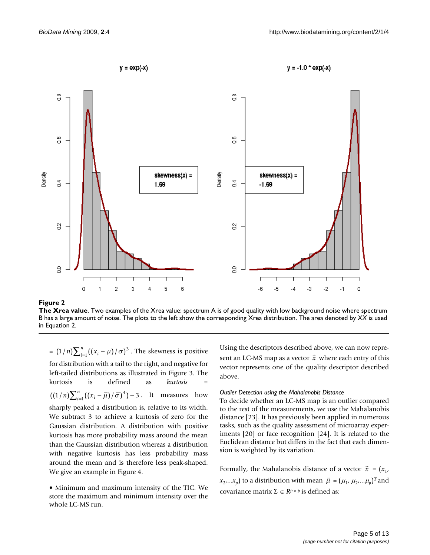<span id="page-4-0"></span>

#### **Figure 2**

**The Xrea value**. Two examples of the Xrea value: spectrum A is of good quality with low background noise where spectrum B has a large amount of noise. The plots to the left show the corresponding Xrea distribution. The area denoted by *XX* is used in Equation 2.

=  $(1/n)\sum_{i=1}^{n}((x_i - \overline{\mu})/\overline{\sigma})^3$ . The skewness is positive for distribution with a tail to the right, and negative for left-tailed distributions as illustrated in Figure [3.](#page-5-0) The kurtosis is defined as *kurtosis* =  $((1/n)\sum_{i=1}^{n} ((x_i - \overline{\mu})/\overline{\sigma})^4) - 3$ . It measures how sharply peaked a distribution is, relative to its width. We subtract 3 to achieve a kurtosis of zero for the Gaussian distribution. A distribution with positive kurtosis has more probability mass around the mean than the Gaussian distribution whereas a distribution with negative kurtosis has less probability mass around the mean and is therefore less peak-shaped. We give an example in Figure [4](#page-6-0).

• Minimum and maximum intensity of the TIC. We store the maximum and minimum intensity over the whole LC-MS run.

Using the descriptors described above, we can now represent an LC-MS map as a vector  $\vec{x}$  where each entry of this vector represents one of the quality descriptor described above.

#### *Outlier Detection using the Mahalanobis Distance*

To decide whether an LC-MS map is an outlier compared to the rest of the measurements, we use the Mahalanobis distance [\[23](#page-11-19)]. It has previously been applied in numerous tasks, such as the quality assessment of microarray experiments [[20\]](#page-11-16) or face recognition [\[24\]](#page-11-20). It is related to the Euclidean distance but differs in the fact that each dimension is weighted by its variation.

Formally, the Mahalanobis distance of a vector  $\vec{x} = (x_1, x_2, \dots, x_n)$  $(x_2,...x_p)$  to a distribution with mean  $\vec{\mu} = (\mu_1, \mu_2,...\mu_p)^T$  and covariance matrix  $\Sigma \in R^{p \times p}$  is defined as: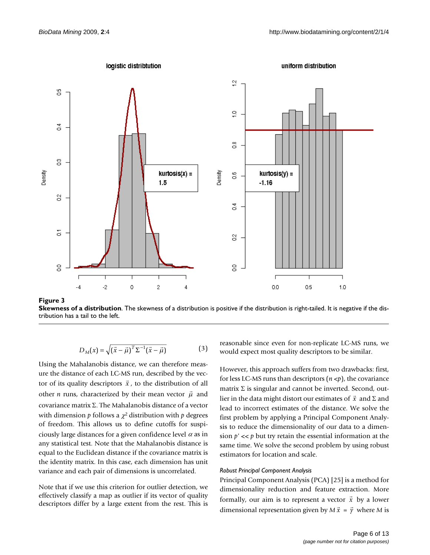<span id="page-5-0"></span>

#### **Figure 3**

**Skewness of a distribution**. The skewness of a distribution is positive if the distribution is right-tailed. It is negative if the distribution has a tail to the left.

$$
D_M(x) = \sqrt{\left(\vec{x} - \vec{\mu}\right)^T \Sigma^{-1} \left(\vec{x} - \vec{\mu}\right)}
$$
(3)

Using the Mahalanobis distance, we can therefore measure the distance of each LC-MS run, described by the vector of its quality descriptors  $\vec{x}$ , to the distribution of all other *n* runs, characterized by their mean vector  $\vec{\mu}$  and covariance matrix Σ. The Mahalanobis distance of a vector with dimension *p* follows a χ2 distribution with *p* degrees of freedom. This allows us to define cutoffs for suspiciously large distances for a given confidence level  $\alpha$  as in any statistical test. Note that the Mahalanobis distance is equal to the Euclidean distance if the covariance matrix is the identity matrix. In this case, each dimension has unit variance and each pair of dimensions is uncorrelated.

Note that if we use this criterion for outlier detection, we effectively classify a map as outlier if its vector of quality descriptors differ by a large extent from the rest. This is reasonable since even for non-replicate LC-MS runs, we would expect most quality descriptors to be similar.

However, this approach suffers from two drawbacks: first, for less LC-MS runs than descriptors (*n* <*p*), the covariance matrix  $\Sigma$  is singular and cannot be inverted. Second, out- $\vec{\mu}$  and lier in the data might distort our estimates of  $\vec{x}$  and Σ and lead to incorrect estimates of the distance. We solve the first problem by applying a Principal Component Analysis to reduce the dimensionality of our data to a dimension  $p' \ll p$  but try retain the essential information at the same time. We solve the second problem by using robust estimators for location and scale.

#### *Robust Principal Component Analysis*

Principal Component Analysis (PCA) [[25\]](#page-12-0) is a method for dimensionality reduction and feature extraction. More formally, our aim is to represent a vector  $\vec{x}$  by a lower dimensional representation given by  $M\vec{x} = \vec{y}$  where *M* is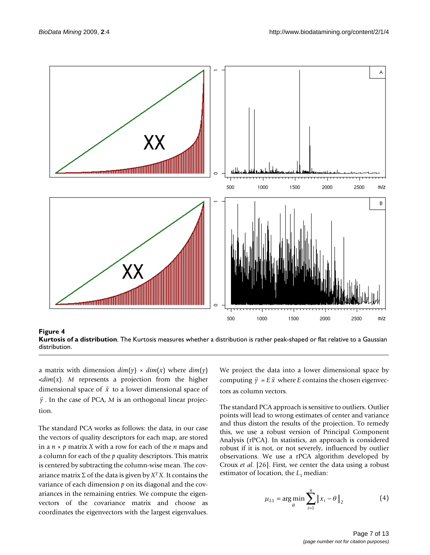<span id="page-6-0"></span>

**Figure 4 Kurtosis of a distribution**. The Kurtosis measures whether a distribution is rather peak-shaped or flat relative to a Gaussian distribution.

a matrix with dimension  $dim(y) \times dim(x)$  where  $dim(y)$  $\langle \text{dim}(x) \rangle$ . *M* represents a projection from the higher dimensional space of  $\vec{x}$  to a lower dimensional space of . In the case of PCA, *M* is an orthogonal linear projec-*y* tion.

The standard PCA works as follows: the data, in our case the vectors of quality descriptors for each map, are stored in a *n* × *p* matrix *X* with a row for each of the *n* maps and a column for each of the *p* quality descriptors. This matrix is centered by subtracting the column-wise mean. The covariance matrix Σ of the data is given by *XT X*. It contains the variance of each dimension *p* on its diagonal and the covariances in the remaining entries. We compute the eigenvectors of the covariance matrix and choose as coordinates the eigenvectors with the largest eigenvalues.

We project the data into a lower dimensional space by computing  $\vec{y} = E\vec{x}$  where *E* contains the chosen eigenvectors as column vectors.

The standard PCA approach is sensitive to outliers. Outlier points will lead to wrong estimates of center and variance and thus distort the results of the projection. To remedy this, we use a robust version of Principal Component Analysis (rPCA). In statistics, an approach is considered robust if it is not, or not severely, influenced by outlier observations. We use a rPCA algorithm developed by Croux *et al*. [[26](#page-12-1)]. First, we center the data using a robust estimator of location, the  $L_1$  median:

$$
\mu_{L1} = \arg\min_{\theta} \sum_{i=1}^{n} ||x_i - \theta||_2
$$
 (4)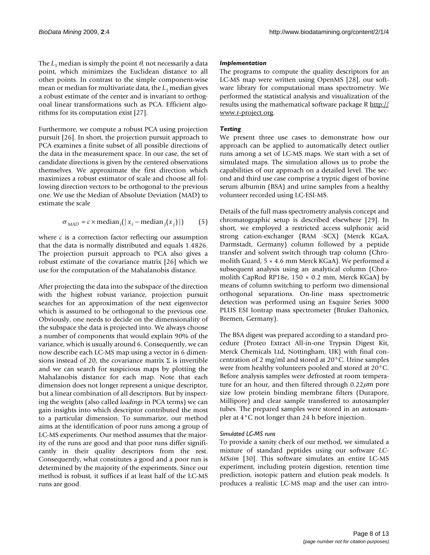The  $L_1$  median is simply the point  $\theta$ , not necessarily a data point, which minimizes the Euclidean distance to all other points. In contrast to the simple component-wise mean or median for multivariate data, the *L*<sub>1</sub> median gives a robust estimate of the center and is invariant to orthogonal linear transformations such as PCA. Efficient algorithms for its computation exist [[27\]](#page-12-2).

Furthermore, we compute a robust PCA using projection pursuit [\[26](#page-12-1)]. In short, the projection pursuit approach to PCA examines a finite subset of all possible directions of the data in the measurement space. In our case, the set of candidate directions is given by the centered observations themselves. We approximate the first direction which maximizes a robust estimator of scale and choose all following direction vectors to be orthogonal to the previous one. We use the Median of Absolute Deviation (MAD) to estimate the scale

$$
\sigma_{MAD} = c \times \text{median}_i(|x_i - \text{median}_j(x_j)|)
$$
 (5)

where  $c$  is a correction factor reflecting our assumption that the data is normally distributed and equals 1.4826. The projection pursuit approach to PCA also gives a robust estimate of the covariance matrix [[26\]](#page-12-1) which we use for the computation of the Mahalanobis distance.

After projecting the data into the subspace of the direction with the highest robust variance, projection pursuit searches for an approximation of the next eigenvector which is assumed to be orthogonal to the previous one. Obviously, one needs to decide on the dimensionality of the subspace the data is projected into. We always choose a number of components that would explain 90% of the variance, which is usually around 6. Consequently, we can now describe each LC-MS map using a vector in 6 dimensions instead of 20, the covariance matrix  $\Sigma$  is invertible and we can search for suspicious maps by plotting the Mahalanobis distance for each map. Note that each dimension does not longer represent a unique descriptor, but a linear combination of all descriptors. But by inspecting the weights (also called *loadings* in PCA terms) we can gain insights into which descriptor contributed the most to a particular dimension. To summarize, our method aims at the identification of poor runs among a group of LC-MS experiments. Our method assumes that the majority of the runs are good and that poor runs differ significantly in their quality descriptors from the rest. Consequently, what constitutes a good and a poor run is determined by the majority of the experiments. Since our method is robust, it suffices if at least half of the LC-MS runs are good.

## *Implementation*

The programs to compute the quality descriptors for an LC-MS map were written using OpenMS [\[28](#page-12-3)], our software library for computational mass spectrometry. We performed the statistical analysis and visualization of the results using the mathematical software package R [http://](http://www.r-project.org) [www.r-project.org.](http://www.r-project.org)

# *Testing*

We present three use cases to demonstrate how our approach can be applied to automatically detect outlier runs among a set of LC-MS maps. We start with a set of simulated maps. The simulation allows us to probe the capabilities of our approach on a detailed level. The second and third use case comprise a tryptic digest of bovine serum albumin (BSA) and urine samples from a healthy volunteer recorded using LC-ESI-MS.

Details of the full mass spectrometry analysis concept and chromatographic setup is described elsewhere [\[29](#page-12-4)]. In short, we employed a restricted access sulphonic acid strong cation-exchanger (RAM -SCX) (Merck KGaA, Darmstadt, Germany) column followed by a peptide transfer and solvent switch through trap column (Chromolith Guard, 5 × 4.6 mm Merck KGaA). We performed a subsequent analysis using an analytical column (Chromolith CapRod RP18e,  $150 \times 0.2$  mm, Merck KGaA) by means of column switching to perform two dimensional orthogonal separations. On-line mass spectrometric detection was performed using an Esquire Series 3000 PLUS ESI Iontrap mass spectrometer (Bruker Daltonics, Bremen, Germany).

The BSA digest was prepared according to a standard procedure (Proteo Extract All-in-one Trypsin Digest Kit, Merck Chemicals Ltd, Nottingham, UK) with final concentration of 2 mg/ml and stored at 20°C. Urine samples were from healthy volunteers pooled and stored at 20°C. Before analysis samples were defrosted at room temperature for an hour, and then filtered through  $0.22 \mu m$  pore size low protein binding membrane filters (Durapore, Millipore) and clear sample transferred to autosampler tubes. The prepared samples were stored in an autosampler at 4°C not longer than 24 h before injection.

# *Simulated LC-MS runs*

To provide a sanity check of our method, we simulated a mixture of standard peptides using our software *LC-MSsim* [\[30](#page-12-5)]. This software simulates an entire LC-MS experiment, including protein digestion, retention time prediction, isotopic pattern and elution peak models. It produces a realistic LC-MS map and the user can intro-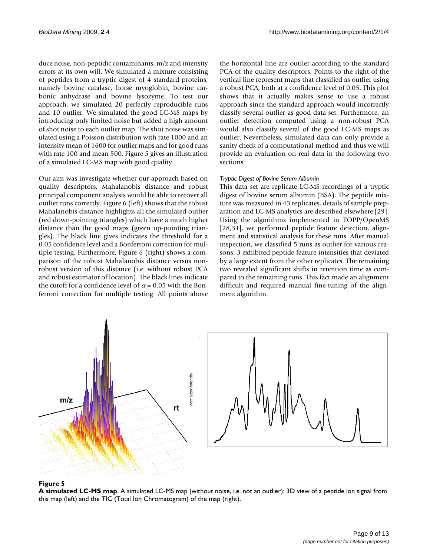duce noise, non-peptidic contaminants, m/z and intensity errors at its own will. We simulated a mixture consisting of peptides from a tryptic digest of 4 standard proteins, namely bovine catalase, horse myoglobin, bovine carbonic anhydrase and bovine lysozyme. To test our approach, we simulated 20 perfectly reproducible runs and 10 outlier. We simulated the good LC-MS maps by introducing only limited noise but added a high amount of shot noise to each outlier map. The shot noise was simulated using a Poisson distribution with rate 1000 and an intensity mean of 1600 for outlier maps and for good runs with rate 100 and mean 500. Figure [5](#page-8-0) gives an illustration of a simulated LC-MS map with good quality.

Our aim was investigate whether our approach based on quality descriptors, Mahalanobis distance and robust principal component analysis would be able to recover all outlier runs correctly. Figure [6](#page-9-0) (left) shows that the robust Mahalanobis distance highlights all the simulated outlier (red down-pointing triangles) which have a much higher distance than the good maps (green up-pointing triangles). The black line gives indicates the threshold for a 0.05 confidence level and a Bonferroni correction for multiple testing. Furthermore, Figure [6](#page-9-0) (right) shows a comparison of the robust Mahalanobis distance versus nonrobust version of this distance (i.e. without robust PCA and robust estimator of location). The black lines indicate the cutoff for a confidence level of  $\alpha$  = 0.05 with the Bonferroni correction for multiple testing. All points above the horizontal line are outlier according to the standard PCA of the quality descriptors. Points to the right of the vertical line represent maps that classified as outlier using a robust PCA, both at a confidence level of 0.05. This plot shows that it actually makes sense to use a robust approach since the standard approach would incorrectly classify several outlier as good data set. Furthermore, an outlier detection computed using a non-robust PCA would also classify several of the good LC-MS maps as outlier. Nevertheless, simulated data can only provide a sanity check of a computational method and thus we will provide an evaluation on real data in the following two sections.

# *Tryptic Digest of Bovine Serum Albumin*

This data set are replicate LC-MS recordings of a tryptic digest of bovine serum albumin (BSA). The peptide mixture was measured in 43 replicates, details of sample preparation and LC-MS analytics are described elsewhere [\[29](#page-12-4)]. Using the algorithms implemented in TOPP/OpenMS [[28](#page-12-3),[31\]](#page-12-6), we performed peptide feature detection, alignment and statistical analysis for these runs. After manual inspection, we classified 5 runs as outlier for various reasons: 3 exhibited peptide feature intensities that deviated by a large extent from the other replicates. The remaining two revealed significant shifts in retention time as compared to the remaining runs. This fact made an alignment difficult and required manual fine-tuning of the alignment algorithm.

<span id="page-8-0"></span>

# **Figure 5**

**A simulated LC-MS map**. A simulated LC-MS map (without noise, i.e. not an outlier): 3D view of a peptide ion signal from this map (left) and the TIC (Total Ion Chromatogram) of the map (right).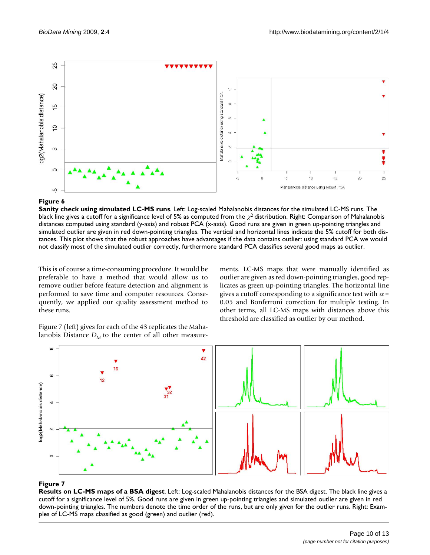<span id="page-9-0"></span>

#### **Figure 6**

**Sanity check using simulated LC-MS runs**. Left: Log-scaled Mahalanobis distances for the simulated LC-MS runs. The black line gives a cutoff for a significance level of 5% as computed from the  $\chi^2$  distribution. Right: Comparison of Mahalanobis distances computed using standard (y-axis) and robust PCA (x-axis). Good runs are given in green up-pointing triangles and simulated outlier are given in red down-pointing triangles. The vertical and horizontal lines indicate the 5% cutoff for both distances. This plot shows that the robust approaches have advantages if the data contains outlier: using standard PCA we would not classify most of the simulated outlier correctly, furthermore standard PCA classifies several good maps as outlier.

This is of course a time-consuming procedure. It would be preferable to have a method that would allow us to remove outlier before feature detection and alignment is performed to save time and computer resources. Consequently, we applied our quality assessment method to these runs.

ments. LC-MS maps that were manually identified as outlier are given as red down-pointing triangles, good replicates as green up-pointing triangles. The horizontal line gives a cutoff corresponding to a significance test with  $\alpha =$ 0.05 and Bonferroni correction for multiple testing. In other terms, all LC-MS maps with distances above this threshold are classified as outlier by our method.

Figure [7](#page-9-1) (left) gives for each of the 43 replicates the Mahalanobis Distance  $D_M$  to the center of all other measure-

<span id="page-9-1"></span>

# **Figure 7**

**Results on LC-MS maps of a BSA digest**. Left: Log-scaled Mahalanobis distances for the BSA digest. The black line gives a cutoff for a significance level of 5%. Good runs are given in green up-pointing triangles and simulated outlier are given in red down-pointing triangles. The numbers denote the time order of the runs, but are only given for the outlier runs. Right: Examples of LC-MS maps classified as good (green) and outlier (red).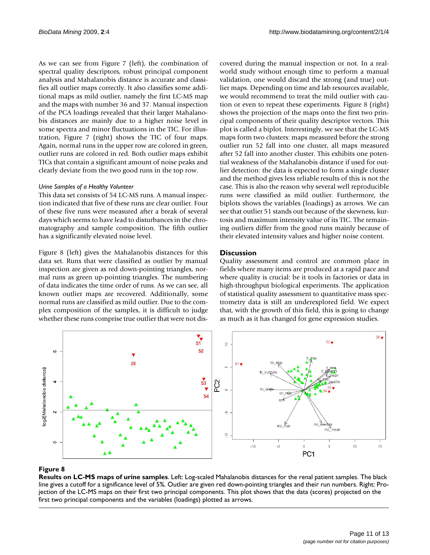As we can see from Figure [7](#page-9-1) (left), the combination of spectral quality descriptors, robust principal component analysis and Mahalanobis distance is accurate and classifies all outlier maps correctly. It also classifies some additional maps as mild outlier, namely the first LC-MS map and the maps with number 36 and 37. Manual inspection of the PCA loadings revealed that their larger Mahalanobis distances are mainly due to a higher noise level in some spectra and minor fluctuations in the TIC. For illustration, Figure [7](#page-9-1) (right) shows the TIC of four maps. Again, normal runs in the upper row are colored in green, outlier runs are colored in red. Both outlier maps exhibit TICs that contain a significant amount of noise peaks and clearly deviate from the two good runs in the top row.

### *Urine Samples of a Healthy Volunteer*

This data set consists of 54 LC-MS runs. A manual inspection indicated that five of these runs are clear outlier. Four of these five runs were measured after a break of several days which seems to have lead to disturbances in the chromatography and sample composition. The fifth outlier has a significantly elevated noise level.

Figure [8](#page-10-0) (left) gives the Mahalanobis distances for this data set. Runs that were classified as outlier by manual inspection are given as red down-pointing triangles, normal runs as green up-pointing triangles. The numbering of data indicates the time order of runs. As we can see, all known outlier maps are recovered. Additionally, some normal runs are classified as mild outlier. Due to the complex composition of the samples, it is difficult to judge whether these runs comprise true outlier that were not discovered during the manual inspection or not. In a realworld study without enough time to perform a manual validation, one would discard the strong (and true) outlier maps. Depending on time and lab resources available, we would recommend to treat the mild outlier with caution or even to repeat these experiments. Figure [8](#page-10-0) (right) shows the projection of the maps onto the first two principal components of their quality descriptor vectors. This plot is called a biplot. Interestingly, we see that the LC-MS maps form two clusters: maps measured before the strong outlier run 52 fall into one cluster, all maps measured after 52 fall into another cluster. This exhibits one potential weakness of the Mahalanobis distance if used for outlier detection: the data is expected to form a single cluster and the method gives less reliable results of this is not the case. This is also the reason why several well reproducible runs were classified as mild outlier. Furthermore, the biplots shows the variables (loadings) as arrows. We can see that outlier 51 stands out because of the skewness, kurtosis and maximum intensity value of its TIC. The remaining outliers differ from the good runs mainly because of their elevated intensity values and higher noise content.

# **Discussion**

Quality assessment and control are common place in fields where many items are produced at a rapid pace and where quality is crucial: be it tools in factories or data in high-throughput biological experiments. The application of statistical quality assessment to quantitative mass spectrometry data is still an underexplored field. We expect that, with the growth of this field, this is going to change as much as it has changed for gene expression studies.

<span id="page-10-0"></span>

# **Figure 8**

**Results on LC-MS maps of urine samples**. Left: Log-scaled Mahalanobis distances for the renal patient samples. The black line gives a cutoff for a significance level of 5%. Outlier are given red down-pointing triangles and their run numbers. Right: Projection of the LC-MS maps on their first two principal components. This plot shows that the data (scores) projected on the first two principal components and the variables (loadings) plotted as arrows.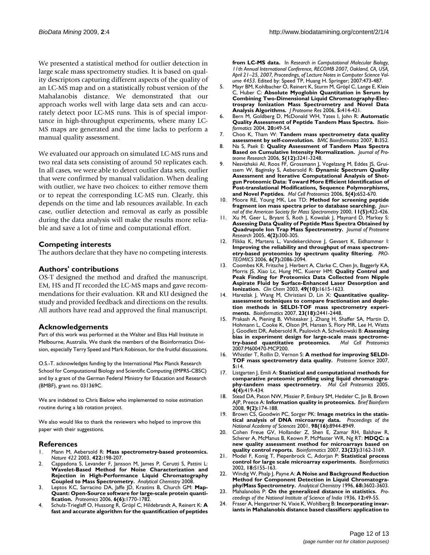We presented a statistical method for outlier detection in large scale mass spectrometry studies. It is based on quality descriptors capturing different aspects of the quality of an LC-MS map and on a statistically robust version of the Mahalanobis distance. We demonstrated that our approach works well with large data sets and can accurately detect poor LC-MS runs. This is of special importance in high-throughput experiments, where many LC-MS maps are generated and the time lacks to perform a manual quality assessment.

We evaluated our approach on simulated LC-MS runs and two real data sets consisting of around 50 replicates each. In all cases, we were able to detect outlier data sets, outlier that were confirmed by manual validation. When dealing with outlier, we have two choices: to either remove them or to repeat the corresponding LC-MS run. Clearly, this depends on the time and lab resources available. In each case, outlier detection and removal as early as possible during the data analysis will make the results more reliable and save a lot of time and computational effort.

### **Competing interests**

The authors declare that they have no competing interests.

#### **Authors' contributions**

OS-T designed the method and drafted the manuscript. EM, HS and JT recorded the LC-MS maps and gave recommendations for their evaluation. KR and KU designed the study and provided feedback and directions on the results. All authors have read and approved the final manuscript.

#### **Acknowledgements**

Part of this work was performed at the Walter and Eliza Hall Institute in Melbourne, Australia. We thank the members of the Bioinformatics Division, especially Terry Speed and Mark Robinson, for the fruitful discussions.

O.S.-T. acknowledges funding by the International Max Planck Research School for Computational Biology and Scientific Computing (IMPRS-CBSC) and by a grant of the German Federal Ministry for Education and Research (BMBF), grant no. 031369C.

We are indebted to Chris Bielow who implemented to noise estimation routine during a lab rotation project.

We also would like to thank the reviewers who helped to improve this paper with their suggestions.

#### **References**

- <span id="page-11-0"></span>1. Mann M, Aebersold R: **Mass spectrometry-based proteomics.** *Nature 422* 2003, **422:**198-207.
- <span id="page-11-1"></span>2. Cappadona S, Levander F, Jansson M, James P, Cerutti S, Pattini L: **[Wavelet-Based Method for Noise Characterization and](http://www.ncbi.nlm.nih.gov/entrez/query.fcgi?cmd=Retrieve&db=PubMed&dopt=Abstract&list_uids=18510348) Rejection in High-Performance Liquid Chromatography [Coupled to Mass Spectrometry.](http://www.ncbi.nlm.nih.gov/entrez/query.fcgi?cmd=Retrieve&db=PubMed&dopt=Abstract&list_uids=18510348)** *Analytical Chemistry* 2008.
- 3. Leptos KC, Sarracino DA, Jaffe JD, Krastins B, Church GM: **[Map-](http://www.ncbi.nlm.nih.gov/entrez/query.fcgi?cmd=Retrieve&db=PubMed&dopt=Abstract&list_uids=16470651)[Quant: Open-Source software for large-scale protein quanti](http://www.ncbi.nlm.nih.gov/entrez/query.fcgi?cmd=Retrieve&db=PubMed&dopt=Abstract&list_uids=16470651)[fication.](http://www.ncbi.nlm.nih.gov/entrez/query.fcgi?cmd=Retrieve&db=PubMed&dopt=Abstract&list_uids=16470651)** *Proteomics* 2006, **6(6):**1770-1782.
- <span id="page-11-2"></span>4. Schulz-Trieglaff O, Hussong R, Gröpl C, Hildebrandt A, Reinert K: **A fast and accurate algorithm for the quantification of peptides**

**from LC-MS data.** In *Research in Computational Molecular Biology, 11th Annual International Conference, RECOMB 2007, Oakland, CA, USA, April 21–25, 2007, Proceedings, of Lecture Notes in Computer Science Volume 4453*. Edited by: Speed TP, Huang H. Springer; 2007:473-487.

- <span id="page-11-3"></span>5. Mayr BM, Kohlbacher O, Reinert K, Sturm M, Gröpl C, Lange E, Klein C, Huber C: **[Absolute Myoglobin Quantitation in Serum by](http://www.ncbi.nlm.nih.gov/entrez/query.fcgi?cmd=Retrieve&db=PubMed&dopt=Abstract&list_uids=16457608) [Combining Two-Dimensional Liquid Chromatography-Elec](http://www.ncbi.nlm.nih.gov/entrez/query.fcgi?cmd=Retrieve&db=PubMed&dopt=Abstract&list_uids=16457608)trospray Ionization Mass Spectrometry and Novel Data [Analysis Algorithms.](http://www.ncbi.nlm.nih.gov/entrez/query.fcgi?cmd=Retrieve&db=PubMed&dopt=Abstract&list_uids=16457608)** *J Proteome Res* 2006, **5:**414-421.
- <span id="page-11-4"></span>6. Bern M, Goldberg D, McDonald WH, Yates I, John R: **[Automatic](http://www.ncbi.nlm.nih.gov/entrez/query.fcgi?cmd=Retrieve&db=PubMed&dopt=Abstract&list_uids=15262780) [Quality Assessment of Peptide Tandem Mass Spectra.](http://www.ncbi.nlm.nih.gov/entrez/query.fcgi?cmd=Retrieve&db=PubMed&dopt=Abstract&list_uids=15262780)** *Bioinformatics* 2004, **20:**i49-54.
- <span id="page-11-6"></span>7. Choo K, Tham W: **[Tandem mass spectrometry data quality](http://www.ncbi.nlm.nih.gov/entrez/query.fcgi?cmd=Retrieve&db=PubMed&dopt=Abstract&list_uids=17880728) [assessment by self-convolution.](http://www.ncbi.nlm.nih.gov/entrez/query.fcgi?cmd=Retrieve&db=PubMed&dopt=Abstract&list_uids=17880728)** *BMC Bioinformatics* 2007, **8:**352.
- <span id="page-11-18"></span>8. Na S, Paek E: **[Quality Assessment of Tandem Mass Spectra](http://www.ncbi.nlm.nih.gov/entrez/query.fcgi?cmd=Retrieve&db=PubMed&dopt=Abstract&list_uids=17137325) [Based on Cumulative Intensity Normalization.](http://www.ncbi.nlm.nih.gov/entrez/query.fcgi?cmd=Retrieve&db=PubMed&dopt=Abstract&list_uids=17137325)** *Journal of Proteome Research* 2006, **5(12):**3241-3248.
- <span id="page-11-7"></span>9. Nesvizhskii AI, Roos FF, Grossmann J, Vogelzang M, Eddes JS, Gruissem W, Baginsky S, Aebersold R: **[Dynamic Spectrum Quality](http://www.ncbi.nlm.nih.gov/entrez/query.fcgi?cmd=Retrieve&db=PubMed&dopt=Abstract&list_uids=16352522) Assessment and Iterative Computational Analysis of Shot[gun Proteomic Data: Toward More Efficient Identification of](http://www.ncbi.nlm.nih.gov/entrez/query.fcgi?cmd=Retrieve&db=PubMed&dopt=Abstract&list_uids=16352522) Post-translational Modifications, Sequence Polymorphisms, [and Novel Peptides.](http://www.ncbi.nlm.nih.gov/entrez/query.fcgi?cmd=Retrieve&db=PubMed&dopt=Abstract&list_uids=16352522)** *Mol Cell Proteomics* 2006, **5(4):**652-670.
- 10. Moore RE, Young MK, Lee TD: **[Method for screening peptide](http://www.ncbi.nlm.nih.gov/entrez/query.fcgi?cmd=Retrieve&db=PubMed&dopt=Abstract&list_uids=10790846) [fragment ion mass spectra prior to database searching.](http://www.ncbi.nlm.nih.gov/entrez/query.fcgi?cmd=Retrieve&db=PubMed&dopt=Abstract&list_uids=10790846)** *Journal of the American Society for Mass Spectrometry* 2000, **11(5):**422-426.
- 11. Xu M, Geer L, Bryant S, Roth J, Kowalak J, Maynard D, Markey S: **[Assessing Data Quality of Peptide Mass Spectra Obtained by](http://www.ncbi.nlm.nih.gov/entrez/query.fcgi?cmd=Retrieve&db=PubMed&dopt=Abstract&list_uids=15822904) [Quadrupole Ion Trap Mass Spectrometry.](http://www.ncbi.nlm.nih.gov/entrez/query.fcgi?cmd=Retrieve&db=PubMed&dopt=Abstract&list_uids=15822904)** *Journal of Proteome Research* 2005, **4(2):**300-305.
- <span id="page-11-5"></span>12. Flikka K, Martens L, Vandekerckhove J, Gevaert K, Eidhammer I: **[Improving the reliability and throughput of mass spectrom](http://www.ncbi.nlm.nih.gov/entrez/query.fcgi?cmd=Retrieve&db=PubMed&dopt=Abstract&list_uids=16518876)[etry-based proteomics by spectrum quality filtering.](http://www.ncbi.nlm.nih.gov/entrez/query.fcgi?cmd=Retrieve&db=PubMed&dopt=Abstract&list_uids=16518876)** *PRO-TEOMICS* 2006, **6(7):**2086-2094.
- <span id="page-11-8"></span>13. Coombes KR, Fritsche J, Herbert A, Clarke C, Chen Jn, Baggerly KA, Morris JS, Xiao Lc, Hung MC, Kuerer HM: **[Quality Control and](http://www.ncbi.nlm.nih.gov/entrez/query.fcgi?cmd=Retrieve&db=PubMed&dopt=Abstract&list_uids=14500586) [Peak Finding for Proteomics Data Collected from Nipple](http://www.ncbi.nlm.nih.gov/entrez/query.fcgi?cmd=Retrieve&db=PubMed&dopt=Abstract&list_uids=14500586) Aspirate Fluid by Surface-Enhanced Laser Desorption and [Ionization.](http://www.ncbi.nlm.nih.gov/entrez/query.fcgi?cmd=Retrieve&db=PubMed&dopt=Abstract&list_uids=14500586)** *Clin Chem* 2003, **49(10):**1615-1623.
- <span id="page-11-11"></span>14. Harezlak J, Wang M, Christiani D, Lin X: **[Quantitative quality](http://www.ncbi.nlm.nih.gov/entrez/query.fcgi?cmd=Retrieve&db=PubMed&dopt=Abstract&list_uids=17626063)[assessment techniques to compare fractionation and deple](http://www.ncbi.nlm.nih.gov/entrez/query.fcgi?cmd=Retrieve&db=PubMed&dopt=Abstract&list_uids=17626063)tion methods in SELDI-TOF mass spectrometry experi[ments.](http://www.ncbi.nlm.nih.gov/entrez/query.fcgi?cmd=Retrieve&db=PubMed&dopt=Abstract&list_uids=17626063)** *Bioinformatics* 2007, **23(18):**2441-2448.
- <span id="page-11-10"></span>15. Prakash A, Piening B, Whiteaker J, Zhang H, Shaffer SA, Martin D, Hohmann L, Cooke K, Olson JM, Hansen S, Flory MR, Lee H, Watts J, Goodlett DR, Aebersold R, Paulovich A, Schwikowski B: **Assessing bias in experiment design for large-scale mass spectrometry-based quantitative proteomics.** *Mol Cell Proteomics* 2007:M600470-MCP200.
- <span id="page-11-9"></span>16. Whistler T, Rollin D, Vernon S: **[A method for improving SELDI-](http://www.ncbi.nlm.nih.gov/entrez/query.fcgi?cmd=Retrieve&db=PubMed&dopt=Abstract&list_uids=17803814)[TOF mass spectrometry data quality.](http://www.ncbi.nlm.nih.gov/entrez/query.fcgi?cmd=Retrieve&db=PubMed&dopt=Abstract&list_uids=17803814)** *Proteome Science* 2007, **5:**14.
- <span id="page-11-12"></span>17. Listgarten J, Emili A: **[Statistical and computational methods for](http://www.ncbi.nlm.nih.gov/entrez/query.fcgi?cmd=Retrieve&db=PubMed&dopt=Abstract&list_uids=15741312) [comparative proteomic profiling using liquid chromatogra](http://www.ncbi.nlm.nih.gov/entrez/query.fcgi?cmd=Retrieve&db=PubMed&dopt=Abstract&list_uids=15741312)[phy-tandem mass spectrometry.](http://www.ncbi.nlm.nih.gov/entrez/query.fcgi?cmd=Retrieve&db=PubMed&dopt=Abstract&list_uids=15741312)** *Mol Cell Proteomics* 2005, **4(4):**419-434.
- <span id="page-11-13"></span>18. Stead DA, Paton NW, Missier P, Embury SM, Hedeler C, Jin B, Brown AJP, Preece A: **[Information quality in proteomics.](http://www.ncbi.nlm.nih.gov/entrez/query.fcgi?cmd=Retrieve&db=PubMed&dopt=Abstract&list_uids=18281347)** *Brief Bioinform* 2008, **9(2):**174-188.
- <span id="page-11-14"></span>19. Brown CS, Goodwin PC, Sorger PK: Image metrics in the statis**tical analysis of DNA microarray data.** *Proceedings of the National Academy of Sciences* 2001, **98(16):**8944-8949.
- <span id="page-11-16"></span>Cohen Freue GV, Hollander Z, Shen E, Zamar RH, Balshaw R, Scherer A, McManus B, Keown P, McMaster WR, Ng RT: **[MDQC: a](http://www.ncbi.nlm.nih.gov/entrez/query.fcgi?cmd=Retrieve&db=PubMed&dopt=Abstract&list_uids=17933854) [new quality assessment method for microarrays based on](http://www.ncbi.nlm.nih.gov/entrez/query.fcgi?cmd=Retrieve&db=PubMed&dopt=Abstract&list_uids=17933854) [quality control reports.](http://www.ncbi.nlm.nih.gov/entrez/query.fcgi?cmd=Retrieve&db=PubMed&dopt=Abstract&list_uids=17933854)** *Bioinformatics* 2007, **23(23):**3162-3169.
- <span id="page-11-15"></span>21. Model F, Konig T, Piepenbrock C, Adorjan P: **[Statistical process](http://www.ncbi.nlm.nih.gov/entrez/query.fcgi?cmd=Retrieve&db=PubMed&dopt=Abstract&list_uids=12169543) [control for large scale microarray experiments.](http://www.ncbi.nlm.nih.gov/entrez/query.fcgi?cmd=Retrieve&db=PubMed&dopt=Abstract&list_uids=12169543)** *Bioinformatics* 2002, **18:**S155-163.
- <span id="page-11-17"></span>22. Windig W, Phalp J, Payne A: **A Noise and Background Reduction Method for Component Detection in Liquid Chromatography/Mass Spectrometry.** *Analytical Chemistry* 1996, **68:**3602-3603.
- <span id="page-11-19"></span>23. Mahalanobis P: **On the generalized distance in statistics.** *Proceedings of the National Institute of Science of India* 1936, **12:**49-55.
- <span id="page-11-20"></span>24. Fraser A, Hengartner N, Vixie K, Wohlberg B: **Incorporating invariants in Mahalanobis distance based classifiers: application to**